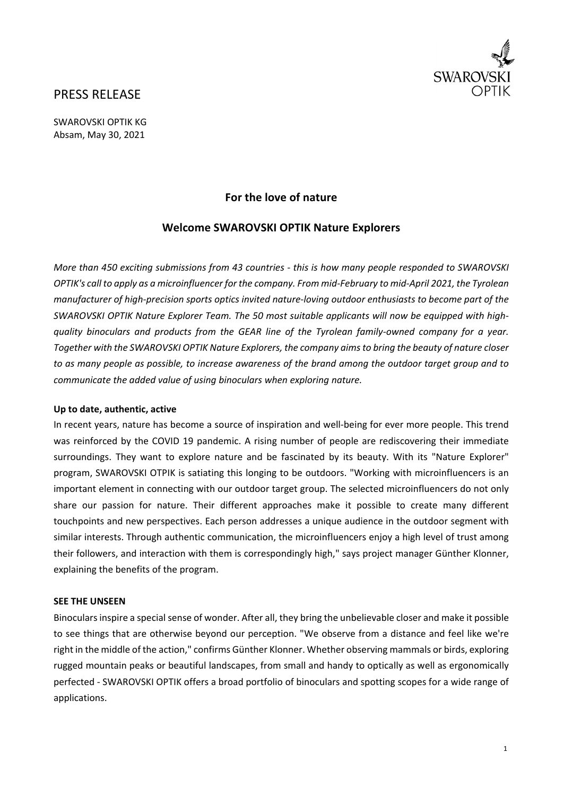

# PRESS RELEASE

SWAROVSKI OPTIK KG Absam, May 30, 2021

# **For the love of nature**

# **Welcome SWAROVSKI OPTIK Nature Explorers**

*More than 450 exciting submissions from 43 countries ‐ this is how many people responded to SWAROVSKI* OPTIK's call to apply as a microinfluencer for the company. From mid-February to mid-April 2021, the Tyrolean manufacturer of high-precision sports optics invited nature-loving outdoor enthusiasts to become part of the *SWAROVSKI OPTIK Nature Explorer Team. The 50 most suitable applicants will now be equipped with high‐* quality binoculars and products from the GEAR line of the Tyrolean family-owned company for a year. *Together with the SWAROVSKI OPTIK Nature Explorers, the company aimsto bring the beauty of nature closer* to as many people as possible, to increase awareness of the brand among the outdoor target group and to *communicate the added value of using binoculars when exploring nature.* 

## **Up to date, authentic, active**

In recent years, nature has become a source of inspiration and well‐being for ever more people. This trend was reinforced by the COVID 19 pandemic. A rising number of people are rediscovering their immediate surroundings. They want to explore nature and be fascinated by its beauty. With its "Nature Explorer" program, SWAROVSKI OTPIK is satiating this longing to be outdoors. "Working with microinfluencers is an important element in connecting with our outdoor target group. The selected microinfluencers do not only share our passion for nature. Their different approaches make it possible to create many different touchpoints and new perspectives. Each person addresses a unique audience in the outdoor segment with similar interests. Through authentic communication, the microinfluencers enjoy a high level of trust among their followers, and interaction with them is correspondingly high," says project manager Günther Klonner, explaining the benefits of the program.

#### **SEE THE UNSEEN**

Binocularsinspire a special sense of wonder. After all, they bring the unbelievable closer and make it possible to see things that are otherwise beyond our perception. "We observe from a distance and feel like we're right in the middle of the action," confirms Günther Klonner. Whether observing mammals or birds, exploring rugged mountain peaks or beautiful landscapes, from small and handy to optically as well as ergonomically perfected ‐ SWAROVSKI OPTIK offers a broad portfolio of binoculars and spotting scopes for a wide range of applications.